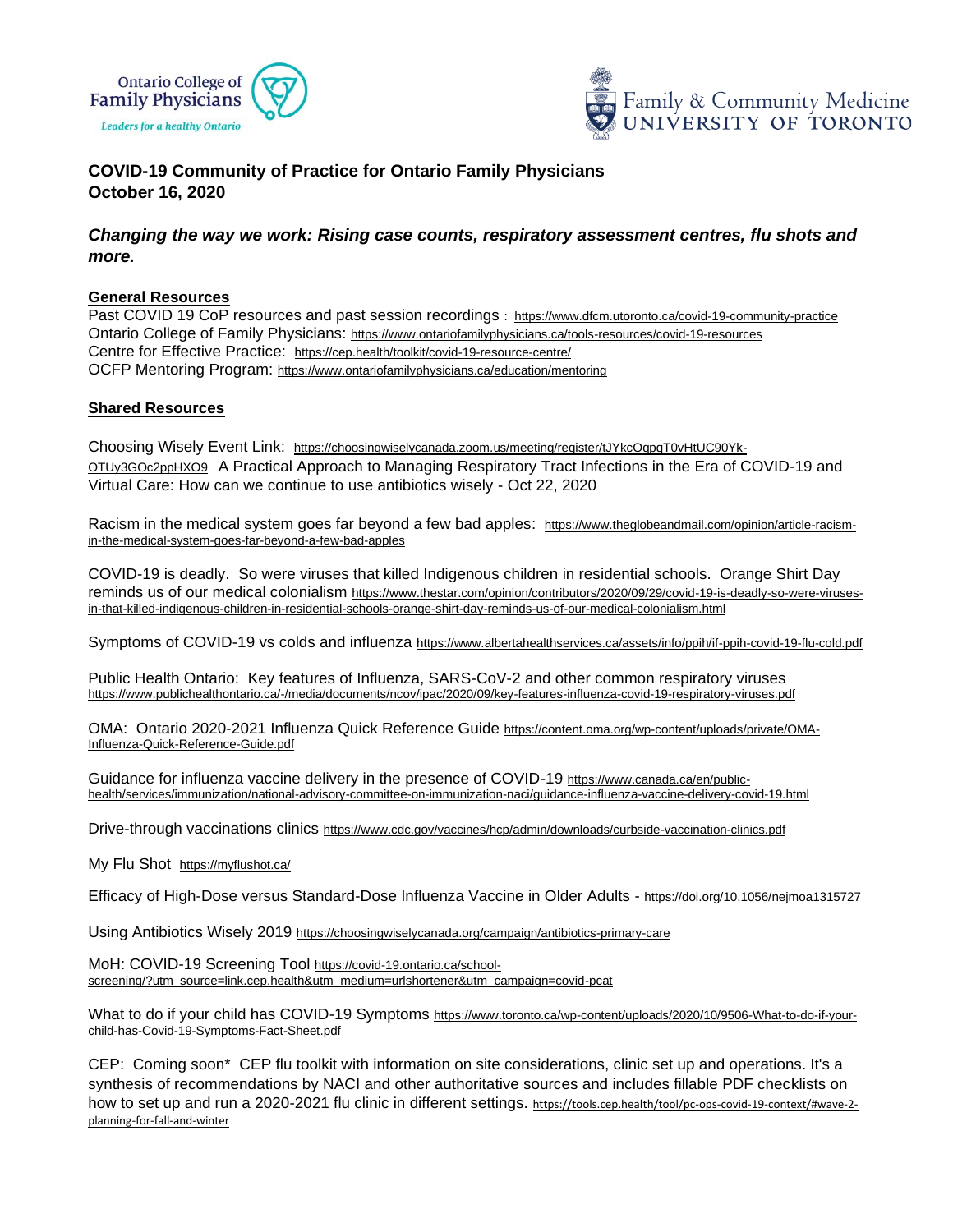



## **COVID-19 Community of Practice for Ontario Family Physicians October 16, 2020**

## *Changing the way we work: Rising case counts, respiratory assessment centres, flu shots and more.*

## **General Resources**

Past COVID 19 CoP resources and past session recordings :<https://www.dfcm.utoronto.ca/covid-19-community-practice> Ontario College of Family Physicians: <https://www.ontariofamilyphysicians.ca/tools-resources/covid-19-resources> Centre for Effective Practice: <https://cep.health/toolkit/covid-19-resource-centre/> OCFP Mentoring Program: <https://www.ontariofamilyphysicians.ca/education/mentoring>

## **Shared Resources**

Choosing Wisely Event Link: [https://choosingwiselycanada.zoom.us/meeting/register/tJYkcOqpqT0vHtUC90Yk-](https://choosingwiselycanada.zoom.us/meeting/register/tJYkcOqpqT0vHtUC90Yk-OTUy3GOc2ppHXO9)[OTUy3GOc2ppHXO9](https://choosingwiselycanada.zoom.us/meeting/register/tJYkcOqpqT0vHtUC90Yk-OTUy3GOc2ppHXO9) A Practical Approach to Managing Respiratory Tract Infections in the Era of COVID-19 and Virtual Care: How can we continue to use antibiotics wisely - Oct 22, 2020

Racism in the medical system goes far beyond a few bad apples: [https://www.theglobeandmail.com/opinion/article-racism](https://www.theglobeandmail.com/opinion/article-racism-in-the-medical-system-goes-far-beyond-a-few-bad-apples)[in-the-medical-system-goes-far-beyond-a-few-bad-apples](https://www.theglobeandmail.com/opinion/article-racism-in-the-medical-system-goes-far-beyond-a-few-bad-apples)

COVID-19 is deadly. So were viruses that killed Indigenous children in residential schools. Orange Shirt Day reminds us of our medical colonialism [https://www.thestar.com/opinion/contributors/2020/09/29/covid-19-is-deadly-so-were-viruses](https://www.thestar.com/opinion/contributors/2020/09/29/covid-19-is-deadly-so-were-viruses-in-that-killed-indigenous-children-in-residential-schools-orange-shirt-day-reminds-us-of-our-medical-colonialism.html)[in-that-killed-indigenous-children-in-residential-schools-orange-shirt-day-reminds-us-of-our-medical-colonialism.html](https://www.thestar.com/opinion/contributors/2020/09/29/covid-19-is-deadly-so-were-viruses-in-that-killed-indigenous-children-in-residential-schools-orange-shirt-day-reminds-us-of-our-medical-colonialism.html)

Symptoms of COVID-19 vs colds and influenza <https://www.albertahealthservices.ca/assets/info/ppih/if-ppih-covid-19-flu-cold.pdf>

Public Health Ontario: Key features of Influenza, SARS-CoV-2 and other common respiratory viruses <https://www.publichealthontario.ca/-/media/documents/ncov/ipac/2020/09/key-features-influenza-covid-19-respiratory-viruses.pdf>

OMA: Ontario 2020-2021 Influenza Quick Reference Guide [https://content.oma.org/wp-content/uploads/private/OMA-](https://content.oma.org/wp-content/uploads/private/OMA-Influenza-Quick-Reference-Guide.pdf)[Influenza-Quick-Reference-Guide.pdf](https://content.oma.org/wp-content/uploads/private/OMA-Influenza-Quick-Reference-Guide.pdf)

Guidance for influenza vaccine delivery in the presence of COVID-19 [https://www.canada.ca/en/public](https://www.canada.ca/en/public-health/services/immunization/national-advisory-committee-on-immunization-naci/guidance-influenza-vaccine-delivery-covid-19.html)[health/services/immunization/national-advisory-committee-on-immunization-naci/guidance-influenza-vaccine-delivery-covid-19.html](https://www.canada.ca/en/public-health/services/immunization/national-advisory-committee-on-immunization-naci/guidance-influenza-vaccine-delivery-covid-19.html)

Drive-through vaccinations clinics <https://www.cdc.gov/vaccines/hcp/admin/downloads/curbside-vaccination-clinics.pdf>

My Flu Shot <https://myflushot.ca/>

Efficacy of High-Dose versus Standard-Dose Influenza Vaccine in Older Adults - https://doi.org/10.1056/nejmoa1315727

Using Antibiotics Wisely 2019 <https://choosingwiselycanada.org/campaign/antibiotics-primary-care>

MoH: COVID-19 Screening Tool [https://covid-19.ontario.ca/school](https://covid-19.ontario.ca/school-screening/?utm_source=link.cep.health&utm_medium=urlshortener&utm_campaign=covid-pcat)[screening/?utm\\_source=link.cep.health&utm\\_medium=urlshortener&utm\\_campaign=covid-pcat](https://covid-19.ontario.ca/school-screening/?utm_source=link.cep.health&utm_medium=urlshortener&utm_campaign=covid-pcat)

What to do if your child has COVID-19 Symptoms [https://www.toronto.ca/wp-content/uploads/2020/10/9506-What-to-do-if-your](https://www.toronto.ca/wp-content/uploads/2020/10/9506-What-to-do-if-your-child-has-Covid-19-Symptoms-Fact-Sheet.pdf)[child-has-Covid-19-Symptoms-Fact-Sheet.pdf](https://www.toronto.ca/wp-content/uploads/2020/10/9506-What-to-do-if-your-child-has-Covid-19-Symptoms-Fact-Sheet.pdf)

CEP: Coming soon\* CEP flu toolkit with information on site considerations, clinic set up and operations. It's a synthesis of recommendations by NACI and other authoritative sources and includes fillable PDF checklists on how to set up and run a 2020-2021 flu clinic in different settings. [https://tools.cep.health/tool/pc-ops-covid-19-context/#wave-2](https://tools.cep.health/tool/pc-ops-covid-19-context/) [planning-for-fall-and-winter](https://tools.cep.health/tool/pc-ops-covid-19-context/)